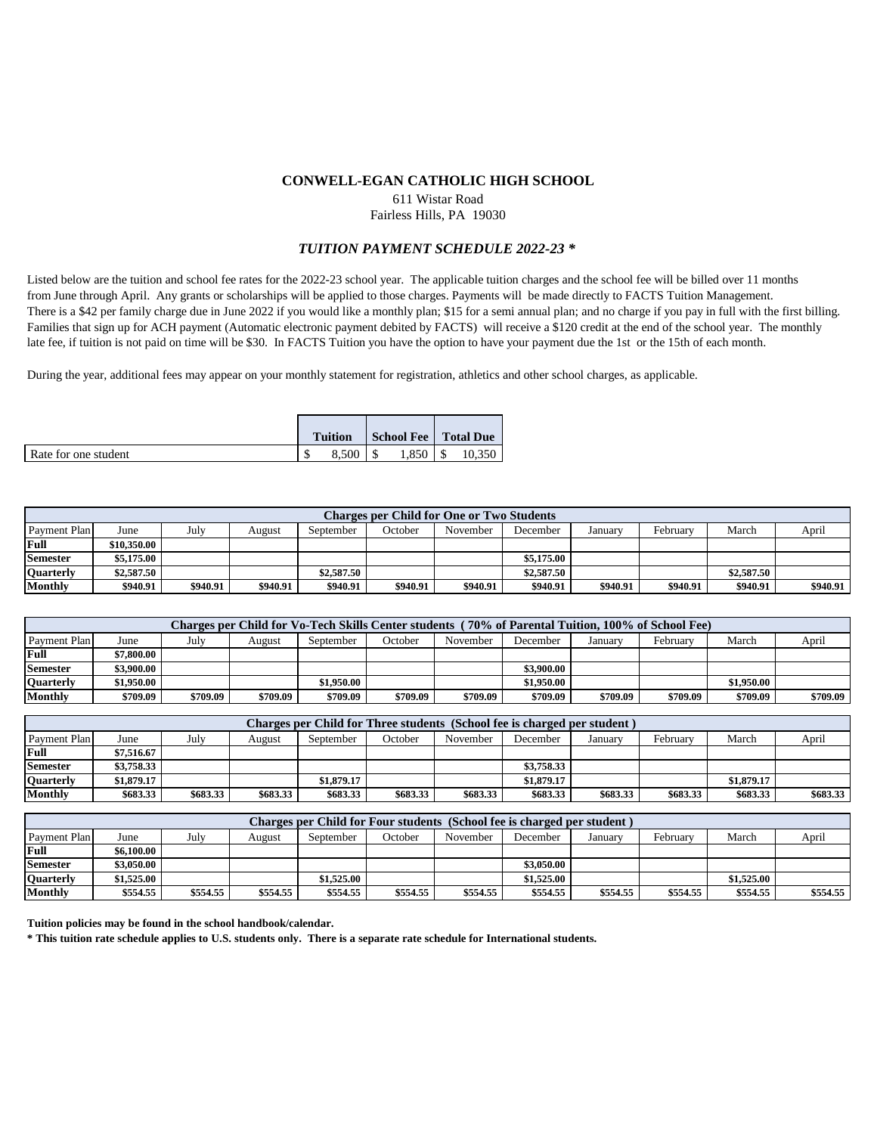### **CONWELL-EGAN CATHOLIC HIGH SCHOOL**

611 Wistar Road

Fairless Hills, PA 19030

## *TUITION PAYMENT SCHEDULE 2022-23 \**

Listed below are the tuition and school fee rates for the 2022-23 school year. The applicable tuition charges and the school fee will be billed over 11 months from June through April. Any grants or scholarships will be applied to those charges. Payments will be made directly to FACTS Tuition Management. There is a \$42 per family charge due in June 2022 if you would like a monthly plan; \$15 for a semi annual plan; and no charge if you pay in full with the first billing. Families that sign up for ACH payment (Automatic electronic payment debited by FACTS) will receive a \$120 credit at the end of the school year. The monthly late fee, if tuition is not paid on time will be \$30. In FACTS Tuition you have the option to have your payment due the 1st or the 15th of each month.

During the year, additional fees may appear on your monthly statement for registration, athletics and other school charges, as applicable.

|                      | <b>Tuition</b> | School Fee   Total Due |        |
|----------------------|----------------|------------------------|--------|
| Rate for one student | $8,500$   \$   | 1.850                  | 10.350 |

| Charges per Child for One or Two Students |             |          |          |            |          |          |            |          |          |            |          |
|-------------------------------------------|-------------|----------|----------|------------|----------|----------|------------|----------|----------|------------|----------|
| Payment Plan                              | June        | Julv     | August   | September  | October  | November | December   | Januarv  | February | March      | April    |
| Full                                      | \$10,350.00 |          |          |            |          |          |            |          |          |            |          |
| <b>Semester</b>                           | \$5,175.00  |          |          |            |          |          | \$5,175,00 |          |          |            |          |
| <b>Quarterly</b>                          | \$2,587.50  |          |          | \$2,587.50 |          |          | \$2,587.50 |          |          | \$2,587.50 |          |
| Monthly                                   | \$940.91    | \$940.91 | \$940.91 | \$940.91   | \$940.91 | \$940.91 | \$940.91   | \$940.91 | \$940.91 | \$940.91   | \$940.91 |

| Charges per Child for Vo-Tech Skills Center students (70% of Parental Tuition, 100% of School Fee) |                    |          |          |            |          |          |            |          |          |            |          |
|----------------------------------------------------------------------------------------------------|--------------------|----------|----------|------------|----------|----------|------------|----------|----------|------------|----------|
| Payment Plan                                                                                       | June               | Julv     | August   | September  | October  | November | December   | Januarv  | February | March      | April    |
| Full                                                                                               | $^{\circ}7.800.00$ |          |          |            |          |          |            |          |          |            |          |
| <b>Semester</b>                                                                                    | <b>3.900.00</b>    |          |          |            |          |          | \$3,900.00 |          |          |            |          |
| <b>Ouarterly</b>                                                                                   | \$1.950.00         |          |          | \$1.950.00 |          |          | \$1,950.00 |          |          | \$1,950.00 |          |
| <b>Monthly</b>                                                                                     | \$709.09           | \$709.09 | \$709.09 | \$709.09   | \$709.09 | \$709.09 | \$709.09   | \$709.09 | \$709.09 | \$709.09   | \$709.09 |

| Charges per Child for Three students (School fee is charged per student) |            |          |          |            |          |          |            |          |          |            |          |
|--------------------------------------------------------------------------|------------|----------|----------|------------|----------|----------|------------|----------|----------|------------|----------|
| Payment Plan                                                             | June       | July     | August   | September  | October  | November | December   | January  | Februarv | March      | April    |
| Full                                                                     | \$7.516.67 |          |          |            |          |          |            |          |          |            |          |
| <b>Semester</b>                                                          | \$3,758.33 |          |          |            |          |          | \$3,758.33 |          |          |            |          |
| <b>Quarterly</b>                                                         | \$1.879.17 |          |          | \$1,879.17 |          |          | \$1,879.17 |          |          | \$1,879.17 |          |
| Monthly                                                                  | \$683.33   | \$683.33 | \$683.33 | \$683.33   | \$683.33 | \$683.33 | \$683.33   | \$683.33 | \$683.33 | \$683.33   | \$683.33 |

| Charges per Child for Four students (School fee is charged per student) |            |          |          |            |          |          |            |          |          |            |          |
|-------------------------------------------------------------------------|------------|----------|----------|------------|----------|----------|------------|----------|----------|------------|----------|
| <b>Payment Plan</b>                                                     | June       | July     | August   | September  | October  | November | December   | January  | February | March      | April    |
| Full                                                                    | \$6.100.00 |          |          |            |          |          |            |          |          |            |          |
| <b>Semester</b>                                                         | \$3.050.00 |          |          |            |          |          | \$3.050.00 |          |          |            |          |
| Quarterly                                                               | \$1,525.00 |          |          | \$1.525.00 |          |          | \$1,525.00 |          |          | \$1,525.00 |          |
| Monthly                                                                 | \$554.55   | \$554.55 | \$554.55 | \$554.55   | \$554.55 | \$554.55 | \$554.55   | \$554.55 | \$554.55 | \$554.55   | \$554.55 |

**Tuition policies may be found in the school handbook/calendar.** 

**\* This tuition rate schedule applies to U.S. students only. There is a separate rate schedule for International students.**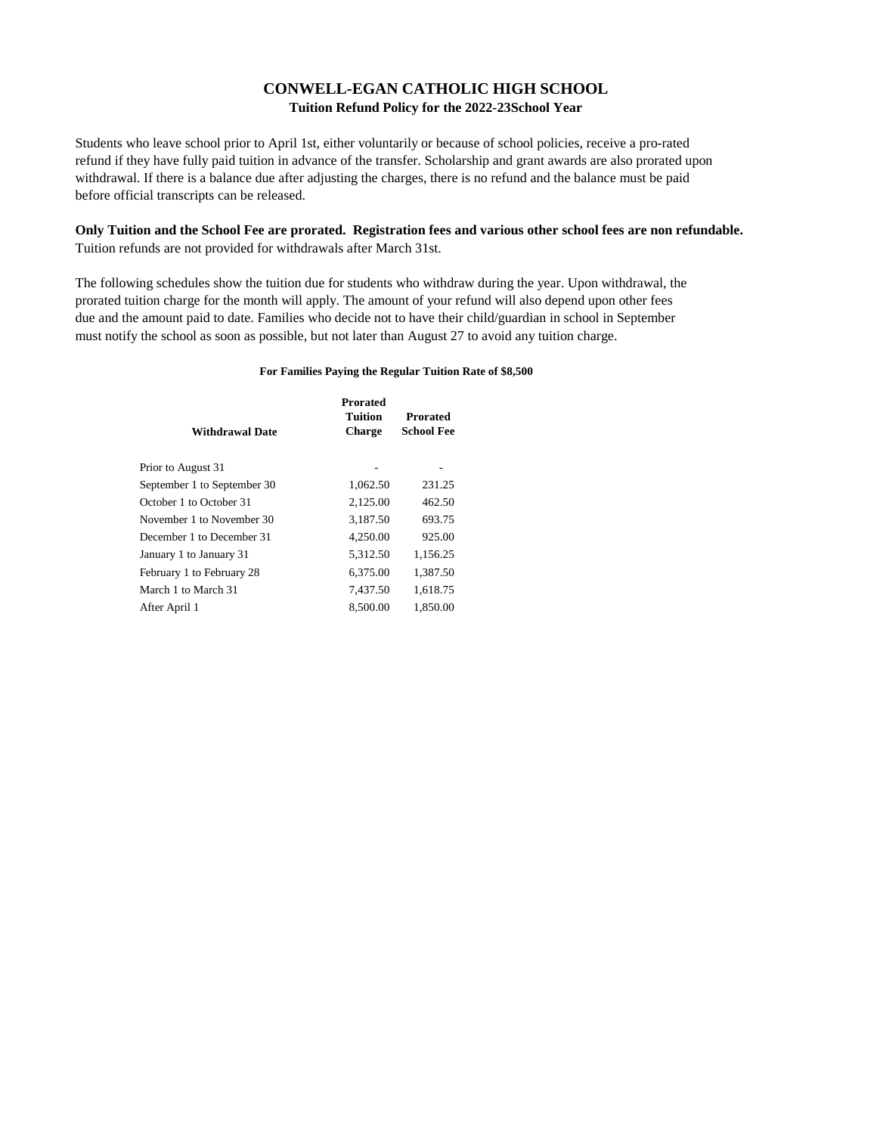# **Tuition Refund Policy for the 2022-23School Year CONWELL-EGAN CATHOLIC HIGH SCHOOL**

Students who leave school prior to April 1st, either voluntarily or because of school policies, receive a pro-rated refund if they have fully paid tuition in advance of the transfer. Scholarship and grant awards are also prorated upon withdrawal. If there is a balance due after adjusting the charges, there is no refund and the balance must be paid before official transcripts can be released.

## **Only Tuition and the School Fee are prorated. Registration fees and various other school fees are non refundable.** Tuition refunds are not provided for withdrawals after March 31st.

The following schedules show the tuition due for students who withdraw during the year. Upon withdrawal, the prorated tuition charge for the month will apply. The amount of your refund will also depend upon other fees due and the amount paid to date. Families who decide not to have their child/guardian in school in September must notify the school as soon as possible, but not later than August 27 to avoid any tuition charge.

#### **For Families Paying the Regular Tuition Rate of \$8,500**

| <b>Withdrawal Date</b>      | <b>Prorated</b><br><b>Tuition</b><br><b>Charge</b> | <b>Prorated</b><br><b>School Fee</b> |
|-----------------------------|----------------------------------------------------|--------------------------------------|
| Prior to August 31          |                                                    |                                      |
| September 1 to September 30 | 1,062.50                                           | 231.25                               |
| October 1 to October 31     | 2,125.00                                           | 462.50                               |
| November 1 to November 30   | 3,187.50                                           | 693.75                               |
| December 1 to December 31   | 4,250.00                                           | 925.00                               |
| January 1 to January 31     | 5,312.50                                           | 1,156.25                             |
| February 1 to February 28   | 6,375.00                                           | 1,387.50                             |
| March 1 to March 31         | 7.437.50                                           | 1,618.75                             |
| After April 1               | 8,500.00                                           | 1.850.00                             |
|                             |                                                    |                                      |